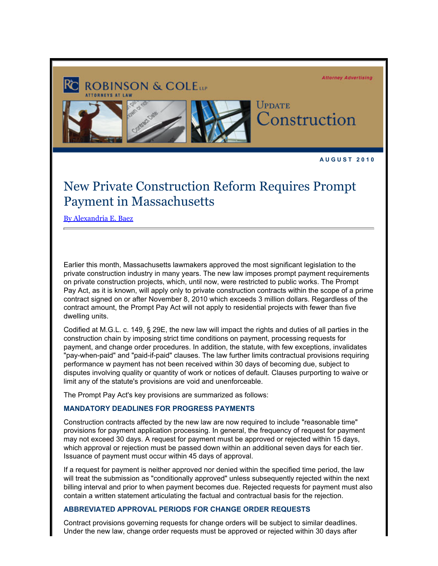

**A U G U S T 2 0 1 0** 

## New Private Construction Reform Requires Prompt Payment in Massachusetts

[By Alexandria E. Baez](http://www.rc.com/?ju=fe211678746d0774751278&ls=fdeb10747163027b7d177372&m=fefb1671756c0d&l=fe941573716d077a75&s=fe191d757d600c7a751376&jb=ffcf14&t=)

Earlier this month, Massachusetts lawmakers approved the most significant legislation to the private construction industry in many years. The new law imposes prompt payment requirements on private construction projects, which, until now, were restricted to public works. The Prompt Pay Act, as it is known, will apply only to private construction contracts within the scope of a prime contract signed on or after November 8, 2010 which exceeds 3 million dollars. Regardless of the contract amount, the Prompt Pay Act will not apply to residential projects with fewer than five dwelling units.

Codified at M.G.L. c. 149, § 29E, the new law will impact the rights and duties of all parties in the construction chain by imposing strict time conditions on payment, processing requests for payment, and change order procedures. In addition, the statute, with few exceptions, invalidates "pay-when-paid" and "paid-if-paid" clauses. The law further limits contractual provisions requiring performance w payment has not been received within 30 days of becoming due, subject to disputes involving quality or quantity of work or notices of default. Clauses purporting to waive or limit any of the statute's provisions are void and unenforceable.

The Prompt Pay Act's key provisions are summarized as follows:

## **MANDATORY DEADLINES FOR PROGRESS PAYMENTS**

Construction contracts affected by the new law are now required to include "reasonable time" provisions for payment application processing. In general, the frequency of request for payment may not exceed 30 days. A request for payment must be approved or rejected within 15 days, which approval or rejection must be passed down within an additional seven days for each tier. Issuance of payment must occur within 45 days of approval.

If a request for payment is neither approved nor denied within the specified time period, the law will treat the submission as "conditionally approved" unless subsequently rejected within the next billing interval and prior to when payment becomes due. Rejected requests for payment must also contain a written statement articulating the factual and contractual basis for the rejection.

## **ABBREVIATED APPROVAL PERIODS FOR CHANGE ORDER REQUESTS**

Contract provisions governing requests for change orders will be subject to similar deadlines. Under the new law, change order requests must be approved or rejected within 30 days after